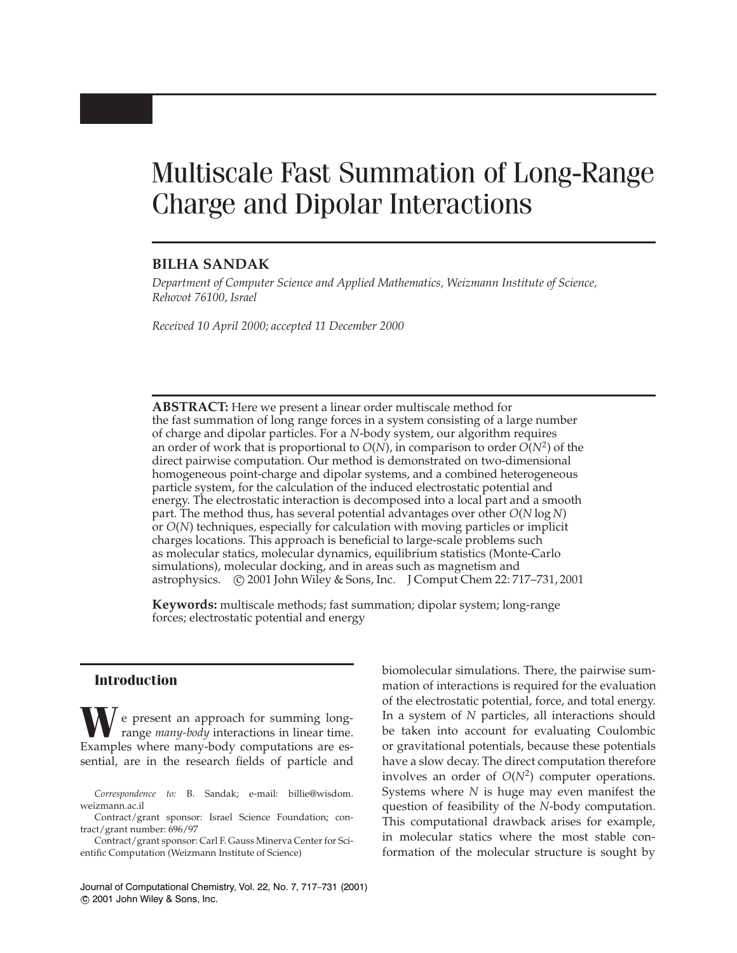# Multiscale Fast Summation of Long-Range Charge and Dipolar Interactions

# **BILHA SANDAK**

*Department of Computer Science and Applied Mathematics, Weizmann Institute of Science, Rehovot 76100, Israel*

*Received 10 April 2000; accepted 11 December 2000*

**ABSTRACT:** Here we present a linear order multiscale method for the fast summation of long range forces in a system consisting of a large number of charge and dipolar particles. For a *N*-body system, our algorithm requires an order of work that is proportional to  $O(N)$ , in comparison to order  $O(N^2)$  of the direct pairwise computation. Our method is demonstrated on two-dimensional homogeneous point-charge and dipolar systems, and a combined heterogeneous particle system, for the calculation of the induced electrostatic potential and energy. The electrostatic interaction is decomposed into a local part and a smooth part. The method thus, has several potential advantages over other *O*(*N* log *N*) or *O*(*N*) techniques, especially for calculation with moving particles or implicit charges locations. This approach is beneficial to large-scale problems such as molecular statics, molecular dynamics, equilibrium statistics (Monte-Carlo simulations), molecular docking, and in areas such as magnetism and astrophysics. c 2001 John Wiley & Sons, Inc. J Comput Chem 22: 717–731, 2001

**Keywords:** multiscale methods; fast summation; dipolar system; long-range forces; electrostatic potential and energy

## **Introduction**

e present an approach for summing longrange *many-body* interactions in linear time. Examples where many-body computations are essential, are in the research fields of particle and biomolecular simulations. There, the pairwise summation of interactions is required for the evaluation of the electrostatic potential, force, and total energy. In a system of *N* particles, all interactions should be taken into account for evaluating Coulombic or gravitational potentials, because these potentials have a slow decay. The direct computation therefore involves an order of  $O(N^2)$  computer operations. Systems where *N* is huge may even manifest the question of feasibility of the *N*-body computation. This computational drawback arises for example, in molecular statics where the most stable conformation of the molecular structure is sought by

*Correspondence to:* B. Sandak; e-mail: billie@wisdom. weizmann.ac.il

Contract/grant sponsor: Israel Science Foundation; contract/grant number: 696/97

Contract/grant sponsor: Carl F. Gauss Minerva Center for Scientific Computation (Weizmann Institute of Science)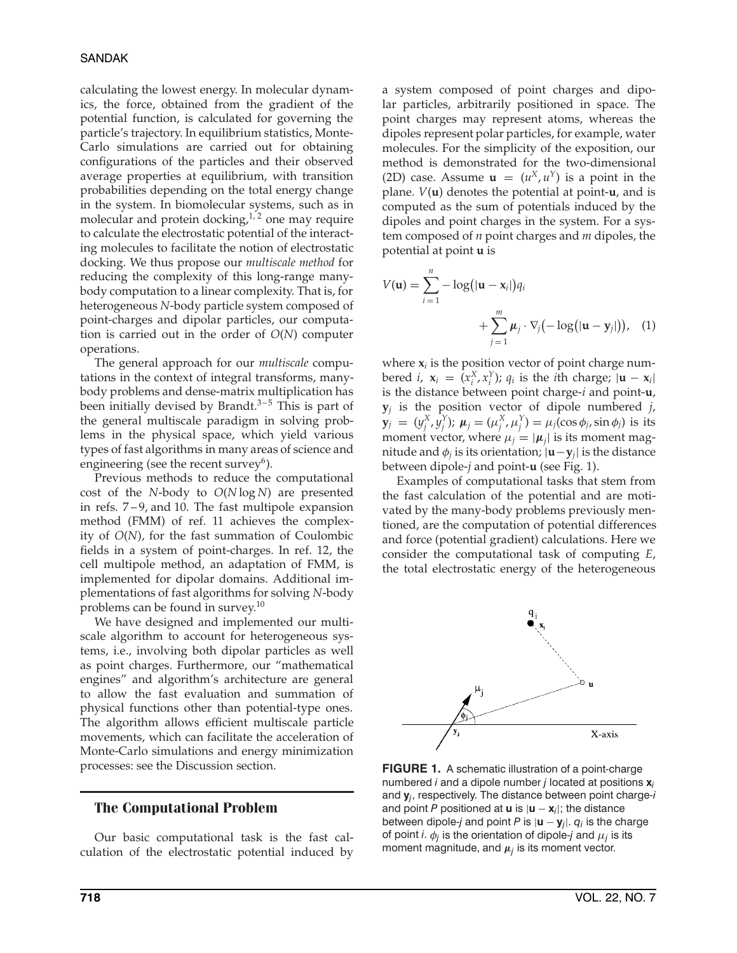calculating the lowest energy. In molecular dynamics, the force, obtained from the gradient of the potential function, is calculated for governing the particle's trajectory. In equilibrium statistics, Monte-Carlo simulations are carried out for obtaining configurations of the particles and their observed average properties at equilibrium, with transition probabilities depending on the total energy change in the system. In biomolecular systems, such as in molecular and protein docking, $1/2$  one may require to calculate the electrostatic potential of the interacting molecules to facilitate the notion of electrostatic docking. We thus propose our *multiscale method* for reducing the complexity of this long-range manybody computation to a linear complexity. That is, for heterogeneous *N*-body particle system composed of point-charges and dipolar particles, our computation is carried out in the order of *O*(*N*) computer operations.

The general approach for our *multiscale* computations in the context of integral transforms, manybody problems and dense-matrix multiplication has been initially devised by Brandt. $3-5$  This is part of the general multiscale paradigm in solving problems in the physical space, which yield various types of fast algorithms in many areas of science and engineering (see the recent survey $6$ ).

Previous methods to reduce the computational cost of the *N*-body to *O*(*N* log *N*) are presented in refs.  $7-9$ , and 10. The fast multipole expansion method (FMM) of ref. 11 achieves the complexity of *O*(*N*), for the fast summation of Coulombic fields in a system of point-charges. In ref. 12, the cell multipole method, an adaptation of FMM, is implemented for dipolar domains. Additional implementations of fast algorithms for solving *N*-body problems can be found in survey.<sup>10</sup>

We have designed and implemented our multiscale algorithm to account for heterogeneous systems, i.e., involving both dipolar particles as well as point charges. Furthermore, our "mathematical engines" and algorithm's architecture are general to allow the fast evaluation and summation of physical functions other than potential-type ones. The algorithm allows efficient multiscale particle movements, which can facilitate the acceleration of Monte-Carlo simulations and energy minimization processes: see the Discussion section.

# **The Computational Problem**

Our basic computational task is the fast calculation of the electrostatic potential induced by a system composed of point charges and dipolar particles, arbitrarily positioned in space. The point charges may represent atoms, whereas the dipoles represent polar particles, for example, water molecules. For the simplicity of the exposition, our method is demonstrated for the two-dimensional (2D) case. Assume  $\mathbf{u} = (u^X, u^Y)$  is a point in the plane. *V*(**u**) denotes the potential at point-**u**, and is computed as the sum of potentials induced by the dipoles and point charges in the system. For a system composed of *n* point charges and *m* dipoles, the potential at point **u** is

$$
V(\mathbf{u}) = \sum_{i=1}^{n} -\log(|\mathbf{u} - \mathbf{x}_i|)q_i
$$
  
+ 
$$
\sum_{j=1}^{m} \mu_j \cdot \nabla_j(-\log(|\mathbf{u} - \mathbf{y}_j|)), \quad (1)
$$

where  $x_i$  is the position vector of point charge numbered *i*,  $\mathbf{x}_i = (x_i^X, x_i^Y); q_i$  is the *i*th charge;  $|\mathbf{u} - \mathbf{x}_i|$ is the distance between point charge-*i* and point-**u**,  $y_i$  is the position vector of dipole numbered *j*, **y**<sub>*j*</sub> = ( $y_j^X, y_j^Y$ );  $\mu_j = (\mu_j^X, \mu_j^Y) = \mu_j(\cos \phi_j, \sin \phi_j)$  is its moment vector, where  $\mu_j = |\mu_j|$  is its moment magnitude and  $\phi_i$  is its orientation;  $|\mathbf{u}-\mathbf{y}_i|$  is the distance between dipole-*j* and point-**u** (see Fig. 1).

Examples of computational tasks that stem from the fast calculation of the potential and are motivated by the many-body problems previously mentioned, are the computation of potential differences and force (potential gradient) calculations. Here we consider the computational task of computing *E*, the total electrostatic energy of the heterogeneous



**FIGURE 1.** A schematic illustration of a point-charge numbered *i* and a dipole number *j* located at positions **x***<sup>i</sup>* and **y***j*, respectively. The distance between point charge-*i* and point *P* positioned at **u** is  $|\mathbf{u} - \mathbf{x}_i|$ ; the distance between dipole-*j* and point *P* is  $|\mathbf{u} - \mathbf{y}_i|$ .  $q_i$  is the charge of point *i*.  $\phi_i$  is the orientation of dipole-*j* and  $\mu_i$  is its moment magnitude, and  $\mu_i$  is its moment vector.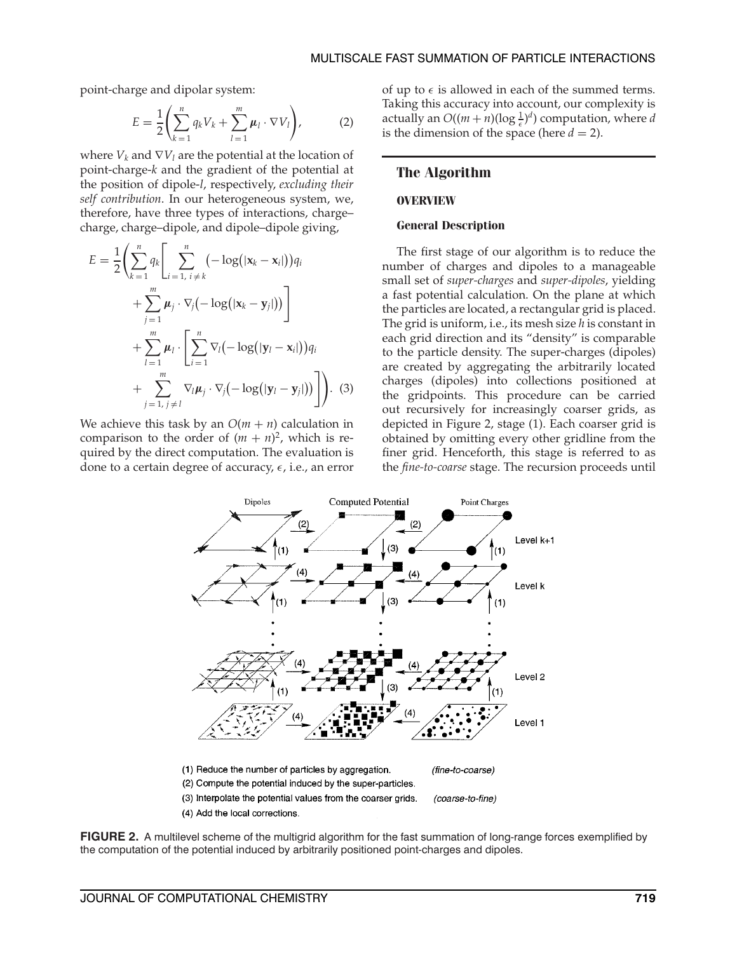point-charge and dipolar system:

$$
E = \frac{1}{2} \left( \sum_{k=1}^{n} q_k V_k + \sum_{l=1}^{m} \mu_l \cdot \nabla V_l \right), \tag{2}
$$

where  $V_k$  and  $\nabla V_l$  are the potential at the location of point-charge-*k* and the gradient of the potential at the position of dipole-*l*, respectively, *excluding their self contribution*. In our heterogeneous system, we, therefore, have three types of interactions, charge– charge, charge–dipole, and dipole–dipole giving,

$$
E = \frac{1}{2} \Biggl( \sum_{k=1}^{n} q_k \Biggl[ \sum_{i=1, i \neq k}^{n} \biggl( -\log(|\mathbf{x}_k - \mathbf{x}_i|) \biggr) q_i + \sum_{j=1}^{m} \mu_j \cdot \nabla_j \biggl( -\log(|\mathbf{x}_k - \mathbf{y}_j|) \biggr) \Biggr] + \sum_{l=1}^{m} \mu_l \cdot \Biggl[ \sum_{i=1}^{n} \nabla_l \biggl( -\log(|\mathbf{y}_l - \mathbf{x}_i|) \biggr) q_i + \sum_{j=1, j \neq l}^{m} \nabla_l \mu_j \cdot \nabla_j \biggl( -\log(|\mathbf{y}_l - \mathbf{y}_j|) \biggr) \Biggr) \Biggr). \tag{3}
$$

We achieve this task by an  $O(m + n)$  calculation in comparison to the order of  $(m + n)^2$ , which is required by the direct computation. The evaluation is done to a certain degree of accuracy,  $\epsilon$ , i.e., an error of up to  $\epsilon$  is allowed in each of the summed terms. Taking this accuracy into account, our complexity is actually an  $O((m+n)(\log \frac{1}{\epsilon})^d)$  computation, where *d* is the dimension of the space (here  $d = 2$ ).

#### **The Algorithm**

#### **OVERVIEW**

#### **General Description**

The first stage of our algorithm is to reduce the number of charges and dipoles to a manageable small set of *super-charges* and *super-dipoles*, yielding a fast potential calculation. On the plane at which the particles are located, a rectangular grid is placed. The grid is uniform, i.e., its mesh size *h* is constant in each grid direction and its "density" is comparable to the particle density. The super-charges (dipoles) are created by aggregating the arbitrarily located charges (dipoles) into collections positioned at the gridpoints. This procedure can be carried out recursively for increasingly coarser grids, as depicted in Figure 2, stage (1). Each coarser grid is obtained by omitting every other gridline from the finer grid. Henceforth, this stage is referred to as the *fine-to-coarse* stage. The recursion proceeds until



**FIGURE 2.** A multilevel scheme of the multigrid algorithm for the fast summation of long-range forces exemplified by the computation of the potential induced by arbitrarily positioned point-charges and dipoles.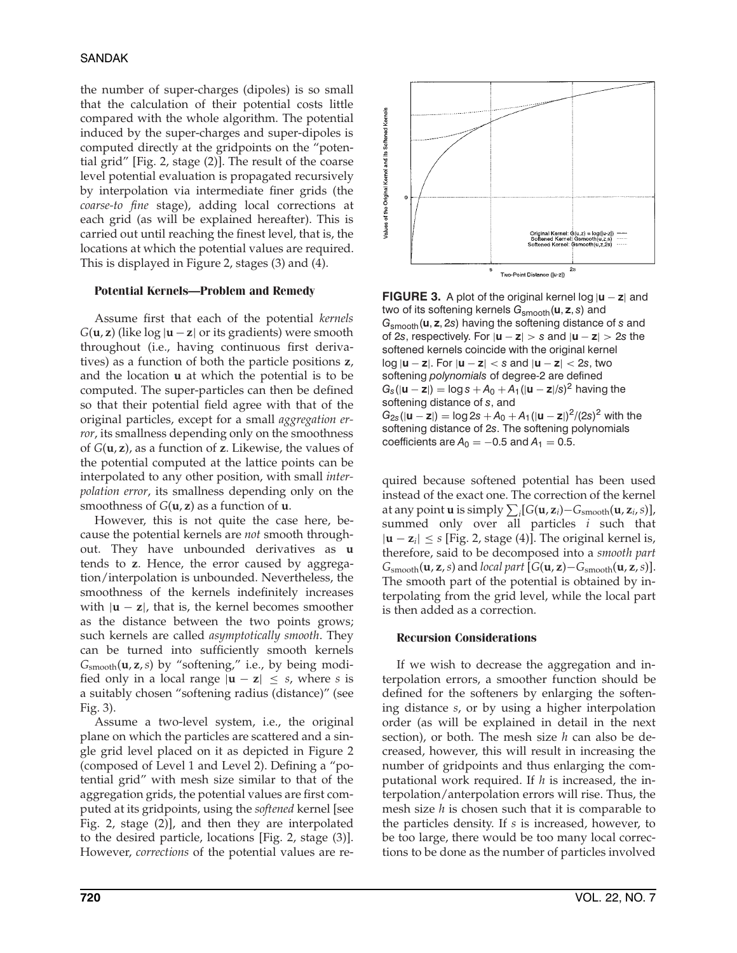# SANDAK

the number of super-charges (dipoles) is so small that the calculation of their potential costs little compared with the whole algorithm. The potential induced by the super-charges and super-dipoles is computed directly at the gridpoints on the "potential grid" [Fig. 2, stage (2)]. The result of the coarse level potential evaluation is propagated recursively by interpolation via intermediate finer grids (the *coarse-to fine* stage), adding local corrections at each grid (as will be explained hereafter). This is carried out until reaching the finest level, that is, the locations at which the potential values are required. This is displayed in Figure 2, stages (3) and (4).

#### **Potential Kernels—Problem and Remedy**

Assume first that each of the potential *kernels*  $G(\mathbf{u}, \mathbf{z})$  (like  $\log |\mathbf{u} - \mathbf{z}|$  or its gradients) were smooth throughout (i.e., having continuous first derivatives) as a function of both the particle positions **z**, and the location **u** at which the potential is to be computed. The super-particles can then be defined so that their potential field agree with that of the original particles, except for a small *aggregation error*, its smallness depending only on the smoothness of *G*(**u**, **z**), as a function of **z**. Likewise, the values of the potential computed at the lattice points can be interpolated to any other position, with small *interpolation error*, its smallness depending only on the smoothness of *G*(**u**, **z**) as a function of **u**.

However, this is not quite the case here, because the potential kernels are *not* smooth throughout. They have unbounded derivatives as **u** tends to **z**. Hence, the error caused by aggregation/interpolation is unbounded. Nevertheless, the smoothness of the kernels indefinitely increases with  $|\mathbf{u} - \mathbf{z}|$ , that is, the kernel becomes smoother as the distance between the two points grows; such kernels are called *asymptotically smooth*. They can be turned into sufficiently smooth kernels *G*smooth(**u**, **z**,*s*) by "softening," i.e., by being modified only in a local range  $|\mathbf{u} - \mathbf{z}| \leq s$ , where *s* is a suitably chosen "softening radius (distance)" (see Fig. 3).

Assume a two-level system, i.e., the original plane on which the particles are scattered and a single grid level placed on it as depicted in Figure 2 (composed of Level 1 and Level 2). Defining a "potential grid" with mesh size similar to that of the aggregation grids, the potential values are first computed at its gridpoints, using the *softened* kernel [see Fig. 2, stage (2)], and then they are interpolated to the desired particle, locations [Fig. 2, stage (3)]. However, *corrections* of the potential values are re-



**FIGURE 3.** A plot of the original kernel log |**u** − **z**| and two of its softening kernels *G*smooth(**u**, **z**, *s*) and *G*smooth(**u**, **z**, 2*s*) having the softening distance of *s* and of 2*s*, respectively. For |**u** − **z**| *> s* and |**u** − **z**| *>* 2*s* the softened kernels coincide with the original kernel log |**u** − **z**|. For |**u** − **z**| *< s* and |**u** − **z**| *<* 2*s*, two softening *polynomials* of degree-2 are defined  $G_{\mathcal{S}}(|\mathbf{u}-\mathbf{z}|)=\log s+A_0+A_1(|\mathbf{u}-\mathbf{z}|/s)^2$  having the softening distance of *s*, and  $G_{2s}$ (|**u** − **z**|) = log 2*s* + *A*<sub>0</sub> + *A*<sub>1</sub>(|**u** − **z**|)<sup>2</sup>/(2*s*)<sup>2</sup> with the softening distance of 2*s*. The softening polynomials coefficients are  $A_0 = -0.5$  and  $A_1 = 0.5$ .

quired because softened potential has been used instead of the exact one. The correction of the kernel at any point **u** is simply  $\sum_i [G(\mathbf{u}, \mathbf{z}_i) - G_{\text{smooth}}(\mathbf{u}, \mathbf{z}_i, s)]$ , summed only over all particles *i* such that |**u** − **z***i*| ≤ *s* [Fig. 2, stage (4)]. The original kernel is, therefore, said to be decomposed into a *smooth part*  $G_{\text{smooth}}(\mathbf{u}, \mathbf{z}, s)$  and *local part*  $[G(\mathbf{u}, \mathbf{z}) - G_{\text{smooth}}(\mathbf{u}, \mathbf{z}, s)].$ The smooth part of the potential is obtained by interpolating from the grid level, while the local part is then added as a correction.

#### **Recursion Considerations**

If we wish to decrease the aggregation and interpolation errors, a smoother function should be defined for the softeners by enlarging the softening distance *s*, or by using a higher interpolation order (as will be explained in detail in the next section), or both. The mesh size *h* can also be decreased, however, this will result in increasing the number of gridpoints and thus enlarging the computational work required. If *h* is increased, the interpolation/anterpolation errors will rise. Thus, the mesh size *h* is chosen such that it is comparable to the particles density. If *s* is increased, however, to be too large, there would be too many local corrections to be done as the number of particles involved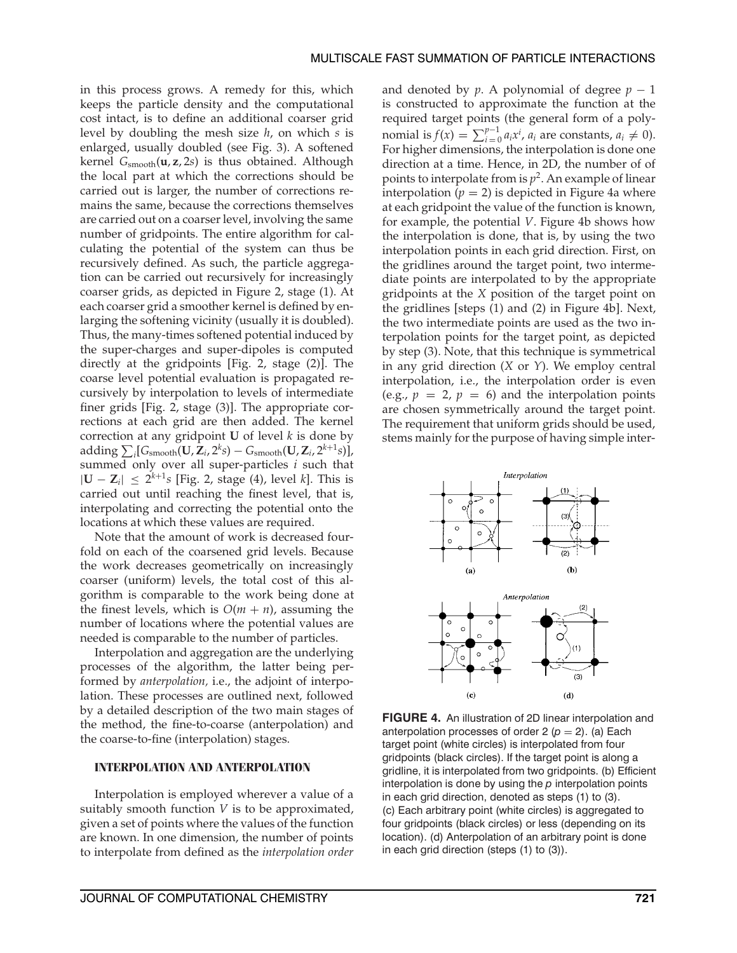in this process grows. A remedy for this, which keeps the particle density and the computational cost intact, is to define an additional coarser grid level by doubling the mesh size *h*, on which *s* is enlarged, usually doubled (see Fig. 3). A softened kernel *G*smooth(**u**, **z**, 2*s*) is thus obtained. Although the local part at which the corrections should be carried out is larger, the number of corrections remains the same, because the corrections themselves are carried out on a coarser level, involving the same number of gridpoints. The entire algorithm for calculating the potential of the system can thus be recursively defined. As such, the particle aggregation can be carried out recursively for increasingly coarser grids, as depicted in Figure 2, stage (1). At each coarser grid a smoother kernel is defined by enlarging the softening vicinity (usually it is doubled). Thus, the many-times softened potential induced by the super-charges and super-dipoles is computed directly at the gridpoints [Fig. 2, stage (2)]. The coarse level potential evaluation is propagated recursively by interpolation to levels of intermediate finer grids [Fig. 2, stage (3)]. The appropriate corrections at each grid are then added. The kernel correction at any gridpoint **U** of level *k* is done by  $\text{adding } \sum_i [G_{\text{smooth}}(\mathbf{U}, \bar{\mathbf{Z}}_i, 2^k s) - G_{\text{smooth}}(\mathbf{U}, \mathbf{Z}_i, 2^{k+1}s)].$ summed only over all super-particles *i* such that |**U** − **Z***i*| ≤ 2*<sup>k</sup>*+<sup>1</sup>*s* [Fig. 2, stage (4), level *k*]. This is carried out until reaching the finest level, that is, interpolating and correcting the potential onto the locations at which these values are required.

Note that the amount of work is decreased fourfold on each of the coarsened grid levels. Because the work decreases geometrically on increasingly coarser (uniform) levels, the total cost of this algorithm is comparable to the work being done at the finest levels, which is  $O(m + n)$ , assuming the number of locations where the potential values are needed is comparable to the number of particles.

Interpolation and aggregation are the underlying processes of the algorithm, the latter being performed by *anterpolation,* i.e., the adjoint of interpolation. These processes are outlined next, followed by a detailed description of the two main stages of the method, the fine-to-coarse (anterpolation) and the coarse-to-fine (interpolation) stages.

#### **INTERPOLATION AND ANTERPOLATION**

Interpolation is employed wherever a value of a suitably smooth function *V* is to be approximated, given a set of points where the values of the function are known. In one dimension, the number of points to interpolate from defined as the *interpolation order* and denoted by  $p$ . A polynomial of degree  $p - 1$ is constructed to approximate the function at the required target points (the general form of a polynomial is  $f(x) = \sum_{i=0}^{p-1} a_i x^i$ ,  $a_i$  are constants,  $a_i \neq 0$ ). For higher dimensions, the interpolation is done one direction at a time. Hence, in 2D, the number of of points to interpolate from is  $p^2$ . An example of linear interpolation  $(p = 2)$  is depicted in Figure 4a where at each gridpoint the value of the function is known, for example, the potential *V*. Figure 4b shows how the interpolation is done, that is, by using the two interpolation points in each grid direction. First, on the gridlines around the target point, two intermediate points are interpolated to by the appropriate gridpoints at the *X* position of the target point on the gridlines [steps (1) and (2) in Figure 4b]. Next, the two intermediate points are used as the two interpolation points for the target point, as depicted by step (3). Note, that this technique is symmetrical in any grid direction (*X* or *Y*). We employ central interpolation, i.e., the interpolation order is even (e.g.,  $p = 2$ ,  $p = 6$ ) and the interpolation points are chosen symmetrically around the target point. The requirement that uniform grids should be used, stems mainly for the purpose of having simple inter-



**FIGURE 4.** An illustration of 2D linear interpolation and anterpolation processes of order  $2 (p = 2)$ . (a) Each target point (white circles) is interpolated from four gridpoints (black circles). If the target point is along a gridline, it is interpolated from two gridpoints. (b) Efficient interpolation is done by using the *p* interpolation points in each grid direction, denoted as steps (1) to (3). (c) Each arbitrary point (white circles) is aggregated to four gridpoints (black circles) or less (depending on its location). (d) Anterpolation of an arbitrary point is done in each grid direction (steps (1) to (3)).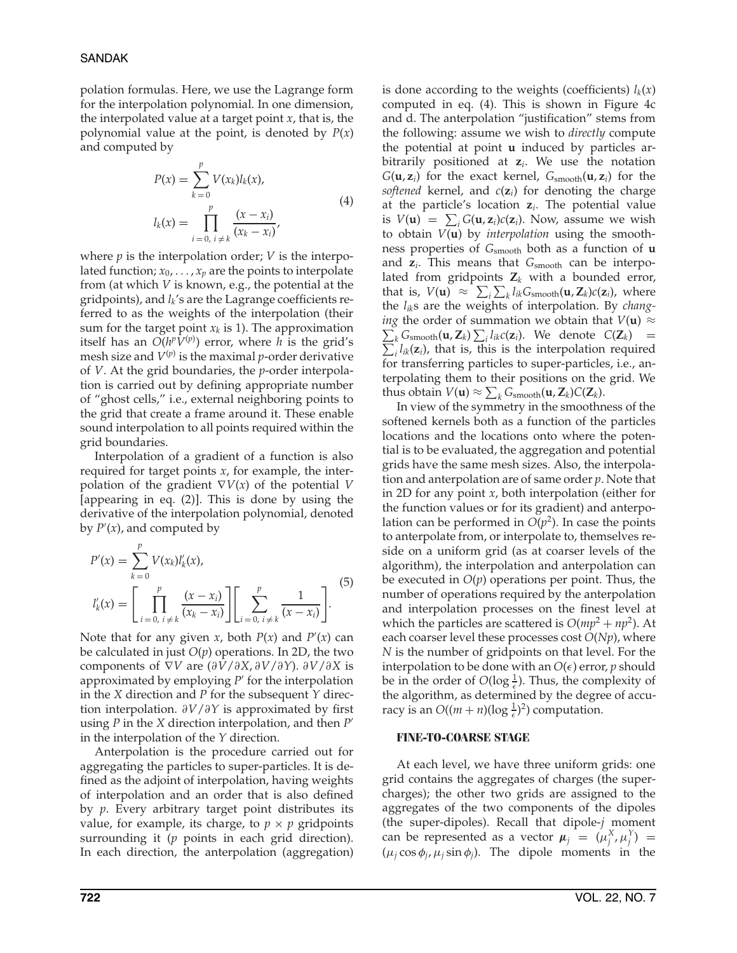# SANDAK

polation formulas. Here, we use the Lagrange form for the interpolation polynomial. In one dimension, the interpolated value at a target point *x*, that is, the polynomial value at the point, is denoted by *P*(*x*) and computed by

$$
P(x) = \sum_{k=0}^{p} V(x_k)l_k(x),
$$
  
\n
$$
l_k(x) = \prod_{i=0, i \neq k}^{p} \frac{(x - x_i)}{(x_k - x_i)},
$$
\n(4)

where *p* is the interpolation order; *V* is the interpolated function;  $x_0, \ldots, x_p$  are the points to interpolate from (at which *V* is known, e.g., the potential at the gridpoints), and  $l_k$ 's are the Lagrange coefficients referred to as the weights of the interpolation (their sum for the target point  $x_k$  is 1). The approximation itself has an  $O(h^pV^{(p)})$  error, where *h* is the grid's mesh size and  $V^{(p)}$  is the maximal *p*-order derivative of *V*. At the grid boundaries, the *p*-order interpolation is carried out by defining appropriate number of "ghost cells," i.e., external neighboring points to the grid that create a frame around it. These enable sound interpolation to all points required within the grid boundaries.

Interpolation of a gradient of a function is also required for target points *x*, for example, the interpolation of the gradient ∇*V*(*x*) of the potential *V* [appearing in eq. (2)]. This is done by using the derivative of the interpolation polynomial, denoted by  $P'(x)$ , and computed by

$$
P'(x) = \sum_{k=0}^{p} V(x_k) I'_k(x),
$$
  
\n
$$
I'_k(x) = \left[ \prod_{i=0, i \neq k}^{p} \frac{(x - x_i)}{(x_k - x_i)} \right] \left[ \sum_{i=0, i \neq k}^{p} \frac{1}{(x - x_i)} \right].
$$
\n(5)

Note that for any given x, both  $P(x)$  and  $P'(x)$  can be calculated in just *O*(*p*) operations. In 2D, the two components of ∇*V* are (*∂V*/*∂X*, *∂V*/*∂Y*). *∂V*/*∂X* is approximated by employing  $P'$  for the interpolation in the *X* direction and *P* for the subsequent *Y* direction interpolation. *∂V*/*∂Y* is approximated by first using  $P$  in the  $X$  direction interpolation, and then  $P'$ in the interpolation of the *Y* direction.

Anterpolation is the procedure carried out for aggregating the particles to super-particles. It is defined as the adjoint of interpolation, having weights of interpolation and an order that is also defined by *p*. Every arbitrary target point distributes its value, for example, its charge, to  $p \times p$  gridpoints surrounding it (*p* points in each grid direction). In each direction, the anterpolation (aggregation) is done according to the weights (coefficients)  $l_k(x)$ computed in eq. (4). This is shown in Figure 4c and d. The anterpolation "justification" stems from the following: assume we wish to *directly* compute the potential at point **u** induced by particles arbitrarily positioned at **z***i*. We use the notation  $G(\mathbf{u}, \mathbf{z}_i)$  for the exact kernel,  $G_{\text{smooth}}(\mathbf{u}, \mathbf{z}_i)$  for the *softened* kernel, and *c*(**z***i*) for denoting the charge at the particle's location **z***i*. The potential value is  $V(\mathbf{u}) = \sum_i G(\mathbf{u}, \mathbf{z}_i) c(\mathbf{z}_i)$ . Now, assume we wish to obtain *V*(**u**) by *interpolation* using the smoothness properties of *G*smooth both as a function of **u** and  $z_i$ . This means that  $G<sub>smooth</sub>$  can be interpolated from gridpoints  $Z_k$  with a bounded error, that is,  $V(\mathbf{u}) \approx \sum_i \sum_k l_{ik} G_{\text{smooth}}(\mathbf{u}, \mathbf{Z}_k) c(\mathbf{z}_i)$ , where the *lik*s are the weights of interpolation. By *chang-* $\sum_{k}$   $G_{\text{smooth}}(\mathbf{u}, \mathbf{Z}_k) \sum_{i} l_{ik} c(\mathbf{z}_i)$ . We denote  $C(\mathbf{Z}_k)$  = *ing* the order of summation we obtain that  $V(\mathbf{u}) \approx$  $\sum_{i} l_{ik}(\mathbf{z}_i)$ , that is, this is the interpolation required for transferring particles to super-particles, i.e., anterpolating them to their positions on the grid. We thus obtain  $V(\mathbf{u}) \approx \sum_k G_{\text{smooth}}(\mathbf{u}, \mathbf{Z}_k) C(\mathbf{Z}_k)$ .

In view of the symmetry in the smoothness of the softened kernels both as a function of the particles locations and the locations onto where the potential is to be evaluated, the aggregation and potential grids have the same mesh sizes. Also, the interpolation and anterpolation are of same order *p*. Note that in 2D for any point *x*, both interpolation (either for the function values or for its gradient) and anterpolation can be performed in  $O(p^2)$ . In case the points to anterpolate from, or interpolate to, themselves reside on a uniform grid (as at coarser levels of the algorithm), the interpolation and anterpolation can be executed in *O*(*p*) operations per point. Thus, the number of operations required by the anterpolation and interpolation processes on the finest level at which the particles are scattered is  $O(mp^2 + np^2)$ . At each coarser level these processes cost *O*(*Np*), where *N* is the number of gridpoints on that level. For the interpolation to be done with an  $O(\epsilon)$  error, *p* should be in the order of  $O(\log \frac{1}{\epsilon})$ . Thus, the complexity of the algorithm, as determined by the degree of accuracy is an  $O((m+n)(\log \frac{1}{\epsilon})^2)$  computation.

#### **FINE-TO-COARSE STAGE**

At each level, we have three uniform grids: one grid contains the aggregates of charges (the supercharges); the other two grids are assigned to the aggregates of the two components of the dipoles (the super-dipoles). Recall that dipole-*j* moment can be represented as a vector  $\boldsymbol{\mu}_j = (\mu_j^X, \mu_j^Y) =$  $(\mu_j \cos \phi_j, \mu_j \sin \phi_j)$ . The dipole moments in the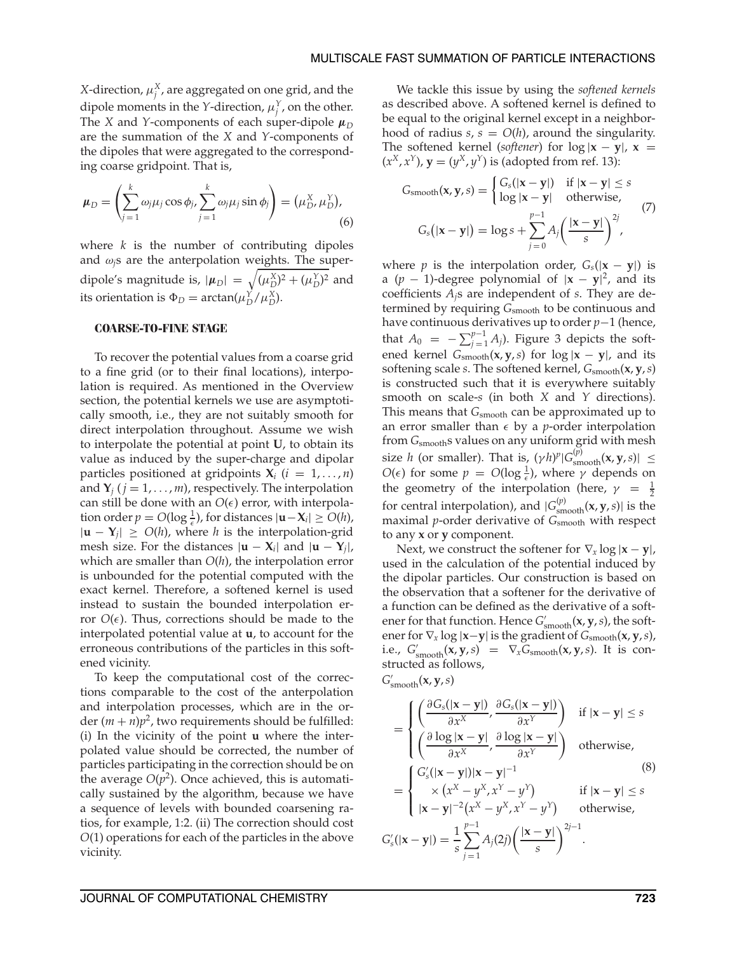*X*-direction,  $\mu_j^X$ , are aggregated on one grid, and the dipole moments in the *Y*-direction,  $\mu_j^Y$ , on the other. The *X* and *Y*-components of each super-dipole  $\mu_D$ are the summation of the *X* and *Y*-components of the dipoles that were aggregated to the corresponding coarse gridpoint. That is,

$$
\boldsymbol{\mu}_D = \left(\sum_{j=1}^k \omega_j \mu_j \cos \phi_j, \sum_{j=1}^k \omega_j \mu_j \sin \phi_j\right) = \left(\mu_D^X, \mu_D^Y\right),\tag{6}
$$

where *k* is the number of contributing dipoles and  $\omega_i$ <sup>s</sup> are the anterpolation weights. The superdipole's magnitude is,  $|\mu_D| = \sqrt{(\mu_D^X)^2 + (\mu_D^Y)^2}$  and its orientation is  $\Phi_D = \arctan(\mu_D^Y/\mu_D^X)$ .

#### **COARSE-TO-FINE STAGE**

To recover the potential values from a coarse grid to a fine grid (or to their final locations), interpolation is required. As mentioned in the Overview section, the potential kernels we use are asymptotically smooth, i.e., they are not suitably smooth for direct interpolation throughout. Assume we wish to interpolate the potential at point **U**, to obtain its value as induced by the super-charge and dipolar particles positioned at gridpoints  $X_i$  ( $i = 1, ..., n$ ) and  $Y_i$  ( $j = 1, \ldots, m$ ), respectively. The interpolation can still be done with an  $O(\epsilon)$  error, with interpolation order *p* = *O*(log  $\frac{1}{\epsilon}$ ), for distances  $|\mathbf{u} - \mathbf{X}_i|$  ≥ *O*(*h*),  $|\mathbf{u} - \mathbf{Y}_i|$  ≥ *O*(*h*), where *h* is the interpolation-grid mesh size. For the distances  $|\mathbf{u} - \mathbf{X}_i|$  and  $|\mathbf{u} - \mathbf{Y}_i|$ , which are smaller than *O*(*h*), the interpolation error is unbounded for the potential computed with the exact kernel. Therefore, a softened kernel is used instead to sustain the bounded interpolation error  $O(\epsilon)$ . Thus, corrections should be made to the interpolated potential value at **u**, to account for the erroneous contributions of the particles in this softened vicinity.

To keep the computational cost of the corrections comparable to the cost of the anterpolation and interpolation processes, which are in the order  $(m + n)p^2$ , two requirements should be fulfilled: (i) In the vicinity of the point **u** where the interpolated value should be corrected, the number of particles participating in the correction should be on the average  $O(p^2)$ . Once achieved, this is automatically sustained by the algorithm, because we have a sequence of levels with bounded coarsening ratios, for example, 1:2. (ii) The correction should cost *O*(1) operations for each of the particles in the above vicinity.

We tackle this issue by using the *softened kernels* as described above. A softened kernel is defined to be equal to the original kernel except in a neighborhood of radius  $s$ ,  $s = O(h)$ , around the singularity. The softened kernel (*softener*) for  $log |x - y|$ ,  $x =$  $(x^X, x^Y)$ ,  $\mathbf{y} = (y^X, y^Y)$  is (adopted from ref. 13):

$$
G_{\text{smooth}}(\mathbf{x}, \mathbf{y}, s) = \begin{cases} G_s(|\mathbf{x} - \mathbf{y}|) & \text{if } |\mathbf{x} - \mathbf{y}| \le s \\ \log |\mathbf{x} - \mathbf{y}| & \text{otherwise,} \end{cases}
$$
  

$$
G_s(|\mathbf{x} - \mathbf{y}|) = \log s + \sum_{j=0}^{p-1} A_j \left(\frac{|\mathbf{x} - \mathbf{y}|}{s}\right)^{2j},
$$
 (7)

where *p* is the interpolation order,  $G_s(|\mathbf{x} - \mathbf{y}|)$  is a ( $p - 1$ )-degree polynomial of  $|\mathbf{x} - \mathbf{y}|^2$ , and its coefficients *Aj*s are independent of *s*. They are determined by requiring *G*smooth to be continuous and have continuous derivatives up to order *p*−1 (hence, that  $A_0 = -\sum_{j=1}^{p-1} A_j$ ). Figure 3 depicts the softened kernel  $G_{\text{smooth}}(x, y, s)$  for  $\log |x - y|$ , and its softening scale *s*. The softened kernel, *G*smooth(**x**, **y**,*s*) is constructed such that it is everywhere suitably smooth on scale-*s* (in both *X* and *Y* directions). This means that *G*smooth can be approximated up to an error smaller than  $\epsilon$  by a *p*-order interpolation from *G*smooths values on any uniform grid with mesh size *h* (or smaller). That is,  $(\gamma h)^p |G_{\text{smooth}}^{(p)}(\mathbf{x}, \mathbf{y}, s)| \le$ *O*( $\epsilon$ ) for some  $p = O(\log \frac{1}{\epsilon})$ , where  $\gamma$  depends on the geometry of the interpolation (here,  $\gamma = \frac{1}{2}$ for central interpolation), and  $|G_{\text{smooth}}^{(p)}(\mathbf{x}, \mathbf{y}, s)|$  is the maximal *p*-order derivative of *G*<sub>smooth</sub> with respect to any **x** or **y** component.

Next, we construct the softener for  $\nabla_x \log |x - y|$ , used in the calculation of the potential induced by the dipolar particles. Our construction is based on the observation that a softener for the derivative of a function can be defined as the derivative of a softener for that function. Hence  $G'_{\text{smooth}}(\mathbf{x}, \mathbf{y}, s)$ , the softener for  $\nabla$ <sub>*x*</sub> log |**x**−**y**| is the gradient of *G*<sub>smooth</sub>(**x**, **y**, *s*), i.e.,  $G'_{\text{smooth}}(x, y, s) = \nabla_x G_{\text{smooth}}(x, y, s)$ . It is constructed as follows,

$$
G'_{\text{smooth}}(\mathbf{x}, \mathbf{y}, s)
$$

$$
= \begin{cases}\n\left(\frac{\partial G_s(|\mathbf{x} - \mathbf{y}|)}{\partial x^X}, \frac{\partial G_s(|\mathbf{x} - \mathbf{y}|)}{\partial x^Y}\right) & \text{if } |\mathbf{x} - \mathbf{y}| \le s \\
\left(\frac{\partial \log |\mathbf{x} - \mathbf{y}|}{\partial x^X}, \frac{\partial \log |\mathbf{x} - \mathbf{y}|}{\partial x^Y}\right) & \text{otherwise,} \\
= \begin{cases}\nG'_s(|\mathbf{x} - \mathbf{y}|)|\mathbf{x} - \mathbf{y}|^{-1} & \text{(8)} \\
\times (x^X - y^X, x^Y - y^Y) & \text{if } |\mathbf{x} - \mathbf{y}| \le s \\
|\mathbf{x} - \mathbf{y}|^{-2}(x^X - y^X, x^Y - y^Y) & \text{otherwise,} \\
G'_s(|\mathbf{x} - \mathbf{y}|) = \frac{1}{s} \sum_{j=1}^{p-1} A_j(2j) \left(\frac{|\mathbf{x} - \mathbf{y}|}{s}\right)^{2j-1}.\n\end{cases}
$$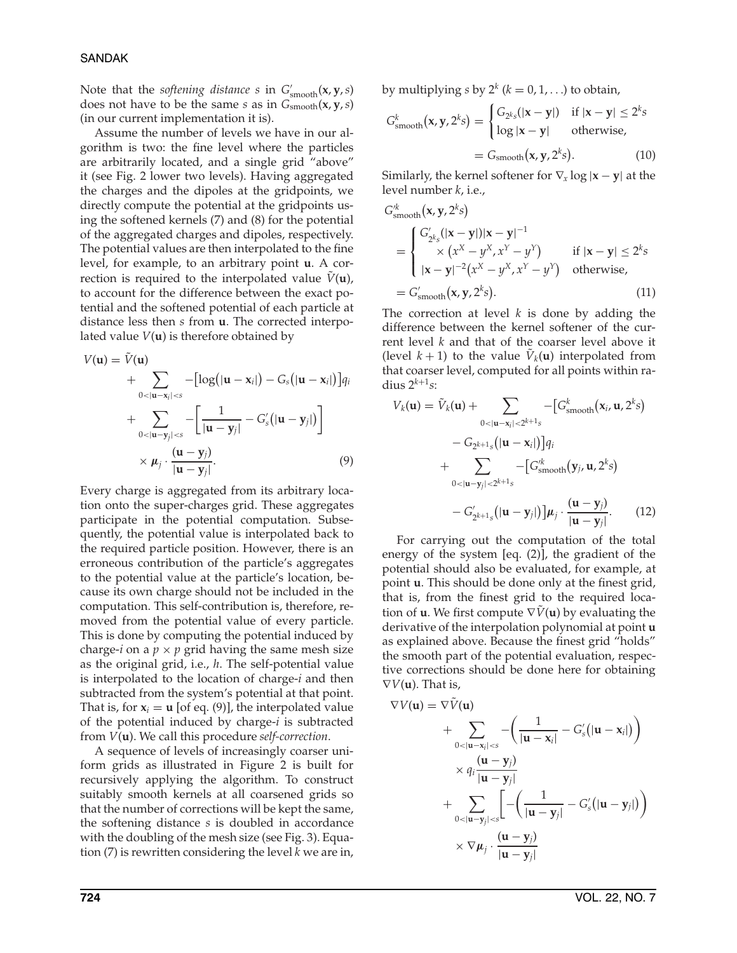Note that the *softening distance s* in  $G'_{\rm smooth}(\mathbf{x}, \mathbf{y}, s)$ does not have to be the same *s* as in *G*smooth(**x**, **y**,*s*) (in our current implementation it is).

Assume the number of levels we have in our algorithm is two: the fine level where the particles are arbitrarily located, and a single grid "above" it (see Fig. 2 lower two levels). Having aggregated the charges and the dipoles at the gridpoints, we directly compute the potential at the gridpoints using the softened kernels (7) and (8) for the potential of the aggregated charges and dipoles, respectively. The potential values are then interpolated to the fine level, for example, to an arbitrary point **u**. A correction is required to the interpolated value  $\tilde{V}(\mathbf{u})$ , to account for the difference between the exact potential and the softened potential of each particle at distance less then *s* from **u**. The corrected interpolated value  $V(\mathbf{u})$  is therefore obtained by

$$
V(\mathbf{u}) = V(\mathbf{u})
$$
  
+ 
$$
\sum_{0 < |\mathbf{u} - \mathbf{x}_i| < s} -[\log(|\mathbf{u} - \mathbf{x}_i|) - G_s(|\mathbf{u} - \mathbf{x}_i|)]q_i
$$
  
+ 
$$
\sum_{0 < |\mathbf{u} - \mathbf{y}_j| < s} - \left[\frac{1}{|\mathbf{u} - \mathbf{y}_j|} - G'_s(|\mathbf{u} - \mathbf{y}_j|)\right]
$$
  
× 
$$
\mu_j \cdot \frac{(\mathbf{u} - \mathbf{y}_j)}{|\mathbf{u} - \mathbf{y}_j|}.
$$
 (9)

Every charge is aggregated from its arbitrary location onto the super-charges grid. These aggregates participate in the potential computation. Subsequently, the potential value is interpolated back to the required particle position. However, there is an erroneous contribution of the particle's aggregates to the potential value at the particle's location, because its own charge should not be included in the computation. This self-contribution is, therefore, removed from the potential value of every particle. This is done by computing the potential induced by charge-*i* on a  $p \times p$  grid having the same mesh size as the original grid, i.e., *h*. The self-potential value is interpolated to the location of charge-*i* and then subtracted from the system's potential at that point. That is, for  $x_i = u$  [of eq. (9)], the interpolated value of the potential induced by charge-*i* is subtracted from *V*(**u**). We call this procedure *self-correction*.

A sequence of levels of increasingly coarser uniform grids as illustrated in Figure 2 is built for recursively applying the algorithm. To construct suitably smooth kernels at all coarsened grids so that the number of corrections will be kept the same, the softening distance *s* is doubled in accordance with the doubling of the mesh size (see Fig. 3). Equation (7) is rewritten considering the level *k* we are in, by multiplying *s* by  $2^k$  ( $k = 0, 1, \ldots$ ) to obtain,

$$
G_{\text{smooth}}^{k}(\mathbf{x}, \mathbf{y}, 2^{k}s) = \begin{cases} G_{2^{k}s}(|\mathbf{x} - \mathbf{y}|) & \text{if } |\mathbf{x} - \mathbf{y}| \le 2^{k}s \\ \log |\mathbf{x} - \mathbf{y}| & \text{otherwise,} \end{cases}
$$

$$
= G_{\text{smooth}}(\mathbf{x}, \mathbf{y}, 2^{k}s). \tag{10}
$$

Similarly, the kernel softener for  $\nabla_x \log |x - y|$  at the level number *k*, i.e.,

$$
G'_{\text{smooth}}(\mathbf{x}, \mathbf{y}, 2^k s)
$$
  
= 
$$
\begin{cases} G'_{2^k s}(|\mathbf{x} - \mathbf{y}|)|\mathbf{x} - \mathbf{y}|^{-1} \\ \times (x^X - y^X, x^Y - y^Y) & \text{if } |\mathbf{x} - \mathbf{y}| \le 2^k s \\ |\mathbf{x} - \mathbf{y}|^{-2}(x^X - y^X, x^Y - y^Y) & \text{otherwise,} \end{cases}
$$
  
=  $G'_{\text{smooth}}(\mathbf{x}, \mathbf{y}, 2^k s).$  (11)

The correction at level *k* is done by adding the difference between the kernel softener of the current level *k* and that of the coarser level above it (level  $k + 1$ ) to the value  $\tilde{V}_k(\mathbf{u})$  interpolated from that coarser level, computed for all points within radius  $2^{k+1}$ *s*:

$$
V_k(\mathbf{u}) = \tilde{V}_k(\mathbf{u}) + \sum_{0 < |\mathbf{u} - \mathbf{x}_i| < 2^{k+1}s} - \left[G_{\text{smooth}}^k(\mathbf{x}_i, \mathbf{u}, 2^k s) - G_{2^{k+1}s}(|\mathbf{u} - \mathbf{x}_i|)\right] q_i + \sum_{0 < |\mathbf{u} - \mathbf{y}_j| < 2^{k+1}s} - \left[G_{\text{smooth}}^k(\mathbf{y}_i, \mathbf{u}, 2^k s) - G_{2^{k+1}s}'(|\mathbf{u} - \mathbf{y}_j|)\right] \boldsymbol{\mu}_j \cdot \frac{(\mathbf{u} - \mathbf{y}_j)}{|\mathbf{u} - \mathbf{y}_j|}. \tag{12}
$$

For carrying out the computation of the total energy of the system [eq. (2)], the gradient of the potential should also be evaluated, for example, at point **u**. This should be done only at the finest grid, that is, from the finest grid to the required location of **u**. We first compute  $\nabla \tilde{V}(\mathbf{u})$  by evaluating the derivative of the interpolation polynomial at point **u** as explained above. Because the finest grid "holds" the smooth part of the potential evaluation, respective corrections should be done here for obtaining  $\nabla V(\mathbf{u})$ . That is,

$$
\nabla V(\mathbf{u}) = \nabla \tilde{V}(\mathbf{u})
$$
  
+ 
$$
\sum_{0 < |\mathbf{u} - \mathbf{x}_i| < s} - \left(\frac{1}{|\mathbf{u} - \mathbf{x}_i|} - G_s'(|\mathbf{u} - \mathbf{x}_i|)\right)
$$
  
 
$$
\times q_i \frac{(\mathbf{u} - \mathbf{y}_j)}{|\mathbf{u} - \mathbf{y}_j|}
$$
  
+ 
$$
\sum_{0 < |\mathbf{u} - \mathbf{y}_j| < s} \left[ - \left(\frac{1}{|\mathbf{u} - \mathbf{y}_j|} - G_s'(|\mathbf{u} - \mathbf{y}_j|)\right) \right)
$$
  
 
$$
\times \nabla \mu_j \cdot \frac{(\mathbf{u} - \mathbf{y}_j)}{|\mathbf{u} - \mathbf{y}_j|}
$$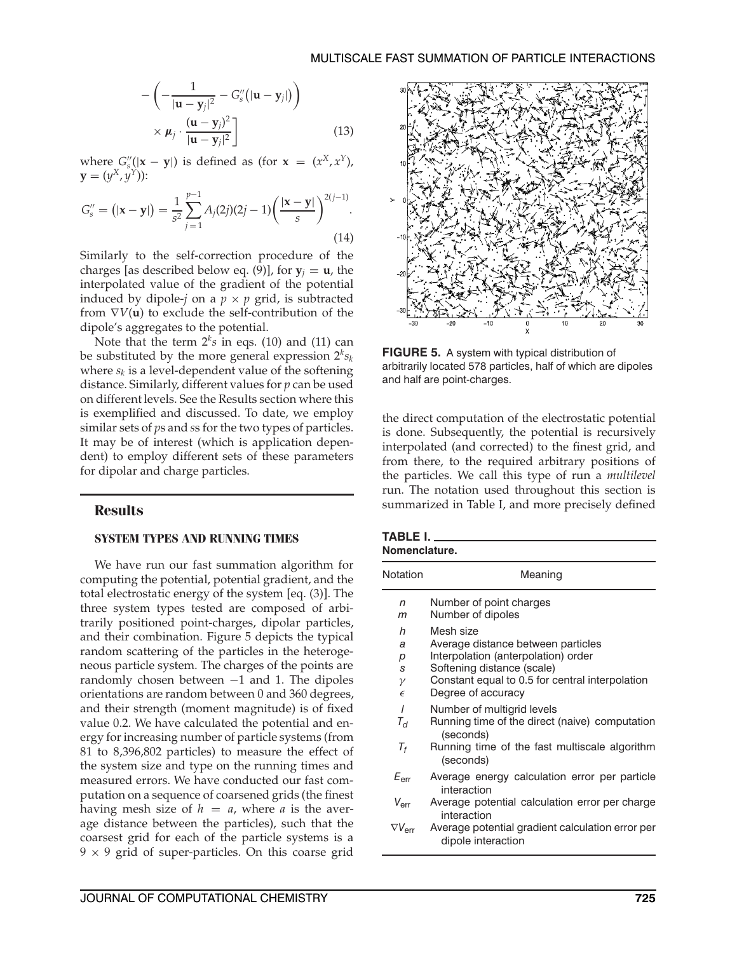$$
-\left(-\frac{1}{|\mathbf{u}-\mathbf{y}_j|^2}-G_s''(|\mathbf{u}-\mathbf{y}_j|)\right) \times \mu_j \cdot \frac{(\mathbf{u}-\mathbf{y}_j)^2}{|\mathbf{u}-\mathbf{y}_j|^2}\right]
$$
(13)

where  $G''_s(|x - y|)$  is defined as (for  $x = (x^X, x^Y)$ ,  ${\bf y} = (y^X, y^Y)$ :

$$
G'_{s} = (|\mathbf{x} - \mathbf{y}|) = \frac{1}{s^2} \sum_{j=1}^{p-1} A_j (2j)(2j-1) \left(\frac{|\mathbf{x} - \mathbf{y}|}{s}\right)^{2(j-1)}.
$$
\n(14)

Similarly to the self-correction procedure of the charges [as described below eq. (9)], for  $y_j = u$ , the interpolated value of the gradient of the potential induced by dipole-*j* on a  $p \times p$  grid, is subtracted from ∇*V*(**u**) to exclude the self-contribution of the dipole's aggregates to the potential.

Note that the term  $2^k s$  in eqs. (10) and (11) can be substituted by the more general expression  $2<sup>k</sup>s<sub>k</sub>$ where  $s_k$  is a level-dependent value of the softening distance. Similarly, different values for *p* can be used on different levels. See the Results section where this is exemplified and discussed. To date, we employ similar sets of *p*s and *s*s for the two types of particles. It may be of interest (which is application dependent) to employ different sets of these parameters for dipolar and charge particles.

#### **Results**

#### **SYSTEM TYPES AND RUNNING TIMES**

We have run our fast summation algorithm for computing the potential, potential gradient, and the total electrostatic energy of the system [eq. (3)]. The three system types tested are composed of arbitrarily positioned point-charges, dipolar particles, and their combination. Figure 5 depicts the typical random scattering of the particles in the heterogeneous particle system. The charges of the points are randomly chosen between −1 and 1. The dipoles orientations are random between 0 and 360 degrees, and their strength (moment magnitude) is of fixed value 0.2. We have calculated the potential and energy for increasing number of particle systems (from 81 to 8,396,802 particles) to measure the effect of the system size and type on the running times and measured errors. We have conducted our fast computation on a sequence of coarsened grids (the finest having mesh size of  $h = a$ , where a is the average distance between the particles), such that the coarsest grid for each of the particle systems is a  $9 \times 9$  grid of super-particles. On this coarse grid



**FIGURE 5.** A system with typical distribution of arbitrarily located 578 particles, half of which are dipoles and half are point-charges.

the direct computation of the electrostatic potential is done. Subsequently, the potential is recursively interpolated (and corrected) to the finest grid, and from there, to the required arbitrary positions of the particles. We call this type of run a *multilevel* run. The notation used throughout this section is summarized in Table I, and more precisely defined

| TABLE I.      |  |  |
|---------------|--|--|
| Nomenclature. |  |  |

| Notation                            | Meaning                                                                                                                                                                                       |
|-------------------------------------|-----------------------------------------------------------------------------------------------------------------------------------------------------------------------------------------------|
| n<br>m                              | Number of point charges<br>Number of dipoles                                                                                                                                                  |
| h<br>a<br>р<br>S<br>γ<br>$\epsilon$ | Mesh size<br>Average distance between particles<br>Interpolation (anterpolation) order<br>Softening distance (scale)<br>Constant equal to 0.5 for central interpolation<br>Degree of accuracy |
| $\overline{I}$<br>$T_{d}$<br>$T_f$  | Number of multigrid levels<br>Running time of the direct (naive) computation<br>(seconds)<br>Running time of the fast multiscale algorithm<br>(seconds)                                       |
| $E_{\sf err}$                       | Average energy calculation error per particle<br>interaction                                                                                                                                  |
| $V_{\sf err}$                       | Average potential calculation error per charge<br>interaction                                                                                                                                 |
| $\nabla V_{\sf err}$                | Average potential gradient calculation error per<br>dipole interaction                                                                                                                        |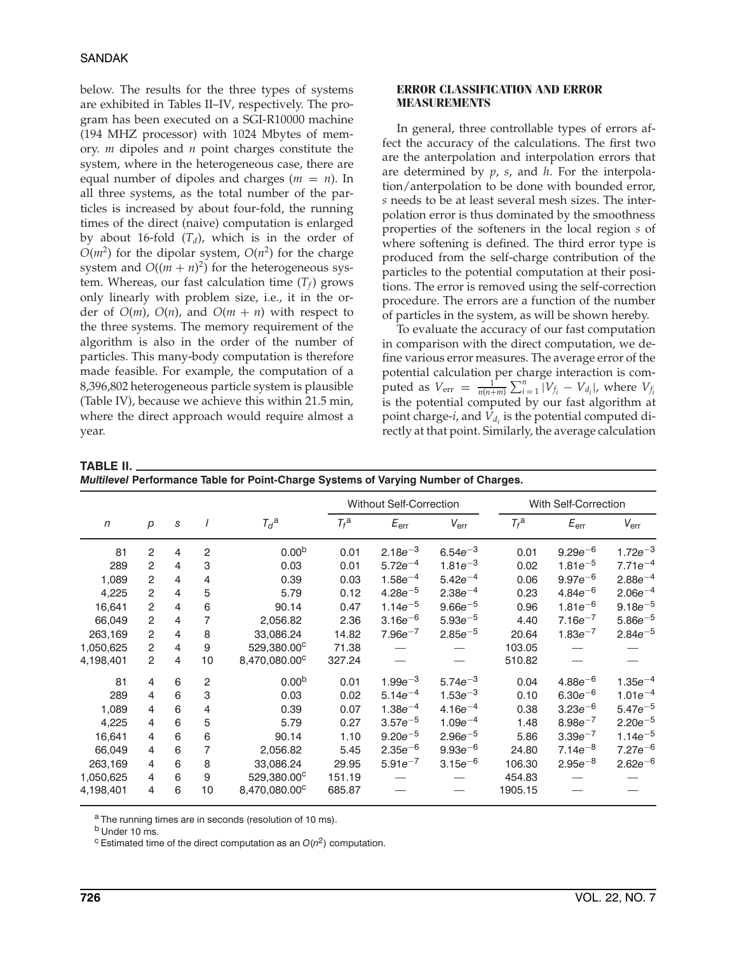below. The results for the three types of systems are exhibited in Tables II–IV, respectively. The program has been executed on a SGI-R10000 machine (194 MHZ processor) with 1024 Mbytes of memory. *m* dipoles and *n* point charges constitute the system, where in the heterogeneous case, there are equal number of dipoles and charges  $(m = n)$ . In all three systems, as the total number of the particles is increased by about four-fold, the running times of the direct (naive) computation is enlarged by about 16-fold  $(T_d)$ , which is in the order of  $O(m^2)$  for the dipolar system,  $O(n^2)$  for the charge system and  $O((m + n)^2)$  for the heterogeneous system. Whereas, our fast calculation time  $(T_f)$  grows only linearly with problem size, i.e., it in the order of  $O(m)$ ,  $O(n)$ , and  $O(m + n)$  with respect to the three systems. The memory requirement of the algorithm is also in the order of the number of particles. This many-body computation is therefore made feasible. For example, the computation of a 8,396,802 heterogeneous particle system is plausible (Table IV), because we achieve this within 21.5 min, where the direct approach would require almost a year.

#### **ERROR CLASSIFICATION AND ERROR MEASUREMENTS**

In general, three controllable types of errors affect the accuracy of the calculations. The first two are the anterpolation and interpolation errors that are determined by *p*, *s*, and *h*. For the interpolation/anterpolation to be done with bounded error, *s* needs to be at least several mesh sizes. The interpolation error is thus dominated by the smoothness properties of the softeners in the local region *s* of where softening is defined. The third error type is produced from the self-charge contribution of the particles to the potential computation at their positions. The error is removed using the self-correction procedure. The errors are a function of the number of particles in the system, as will be shown hereby.

To evaluate the accuracy of our fast computation in comparison with the direct computation, we define various error measures. The average error of the potential calculation per charge interaction is computed as  $V_{\text{err}} = \frac{1}{n(n+m)} \sum_{i=1}^{n} |V_{f_i} - V_{d_i}|$ , where  $V_{f_i}$ is the potential computed by our fast algorithm at point charge- $i$ , and  $V_{d_i}$  is the potential computed directly at that point. Similarly, the average calculation

**TABLE II.**

|           |                  |                |                |                           |         | Without Self-Correction |              |         | With Self-Correction |              |
|-----------|------------------|----------------|----------------|---------------------------|---------|-------------------------|--------------|---------|----------------------|--------------|
| n         | $\boldsymbol{p}$ | S              |                | $T_d^{\text{a}}$          | $T_f$ a | $E_{\rm err}$           | $V_{err}$    | $T_f$ a | $E_{\rm err}$        | $V_{err}$    |
| 81        | 2                | 4              | 2              | 0.00 <sup>b</sup>         | 0.01    | $2.18e^{-3}$            | $6.54e^{-3}$ | 0.01    | $9.29e^{-6}$         | $1.72e^{-3}$ |
| 289       | 2                | $\overline{4}$ | 3              | 0.03                      | 0.01    | $5.72e^{-4}$            | $1.81e^{-3}$ | 0.02    | $1.81e^{-5}$         | $7.71e^{-4}$ |
| 1,089     | 2                | 4              | 4              | 0.39                      | 0.03    | $1.58e^{-4}$            | $5.42e^{-4}$ | 0.06    | $9.97e^{-6}$         | $2.88e^{-4}$ |
| 4,225     | 2                | 4              | 5              | 5.79                      | 0.12    | $4.28e^{-5}$            | $2.38e^{-4}$ | 0.23    | $4.84e^{-6}$         | $2.06e^{-4}$ |
| 16,641    | 2                | 4              | 6              | 90.14                     | 0.47    | $1.14e^{-5}$            | $9.66e^{-5}$ | 0.96    | $1.81e^{-6}$         | $9.18e^{-5}$ |
| 66,049    | 2                | 4              | 7              | 2,056.82                  | 2.36    | $3.16e^{-6}$            | $5.93e^{-5}$ | 4.40    | $7.16e^{-7}$         | $5.86e^{-5}$ |
| 263,169   | 2                | 4              | 8              | 33,086.24                 | 14.82   | $7.96e^{-7}$            | $2.85e^{-5}$ | 20.64   | $1.83e^{-7}$         | $2.84e^{-5}$ |
| 1,050,625 | 2                | 4              | 9              | 529,380.00°               | 71.38   |                         |              | 103.05  |                      |              |
| 4,198,401 | 2                | 4              | 10             | 8,470,080.00°             | 327.24  |                         |              | 510.82  |                      |              |
| 81        | 4                | 6              | $\overline{2}$ | 0.00 <sup>b</sup>         | 0.01    | $1.99e^{-3}$            | $5.74e^{-3}$ | 0.04    | $4.88e^{-6}$         | $1.35e^{-4}$ |
| 289       | 4                | 6              | 3              | 0.03                      | 0.02    | $5.14e^{-4}$            | $1.53e^{-3}$ | 0.10    | $6.30e^{-6}$         | $1.01e^{-4}$ |
| 1,089     | 4                | 6              | 4              | 0.39                      | 0.07    | $1.38e^{-4}$            | $4.16e^{-4}$ | 0.38    | $3.23e^{-6}$         | $5.47e^{-5}$ |
| 4,225     | 4                | 6              | 5              | 5.79                      | 0.27    | $3.57e^{-5}$            | $1.09e^{-4}$ | 1.48    | $8.98e^{-7}$         | $2.20e^{-5}$ |
| 16,641    | 4                | 6              | 6              | 90.14                     | 1.10    | $9.20e^{-5}$            | $2.96e^{-5}$ | 5.86    | $3.39e^{-7}$         | $1.14e^{-5}$ |
| 66,049    | 4                | 6              | 7              | 2,056.82                  | 5.45    | $2.35e^{-6}$            | $9.93e^{-6}$ | 24.80   | $7.14e^{-8}$         | $7.27e^{-6}$ |
| 263,169   | 4                | 6              | 8              | 33,086.24                 | 29.95   | $5.91e^{-7}$            | $3.15e^{-6}$ | 106.30  | $2.95e^{-8}$         | $2.62e^{-6}$ |
| 1,050,625 | 4                | 6              | 9              | 529,380.00°               | 151.19  |                         |              | 454.83  |                      |              |
| 4,198,401 | 4                | 6              | 10             | 8,470,080.00 <sup>c</sup> | 685.87  |                         |              | 1905.15 |                      |              |

a The running times are in seconds (resolution of 10 ms).

<sup>b</sup> Under 10 ms.

<sup>c</sup> Estimated time of the direct computation as an  $O(n^2)$  computation.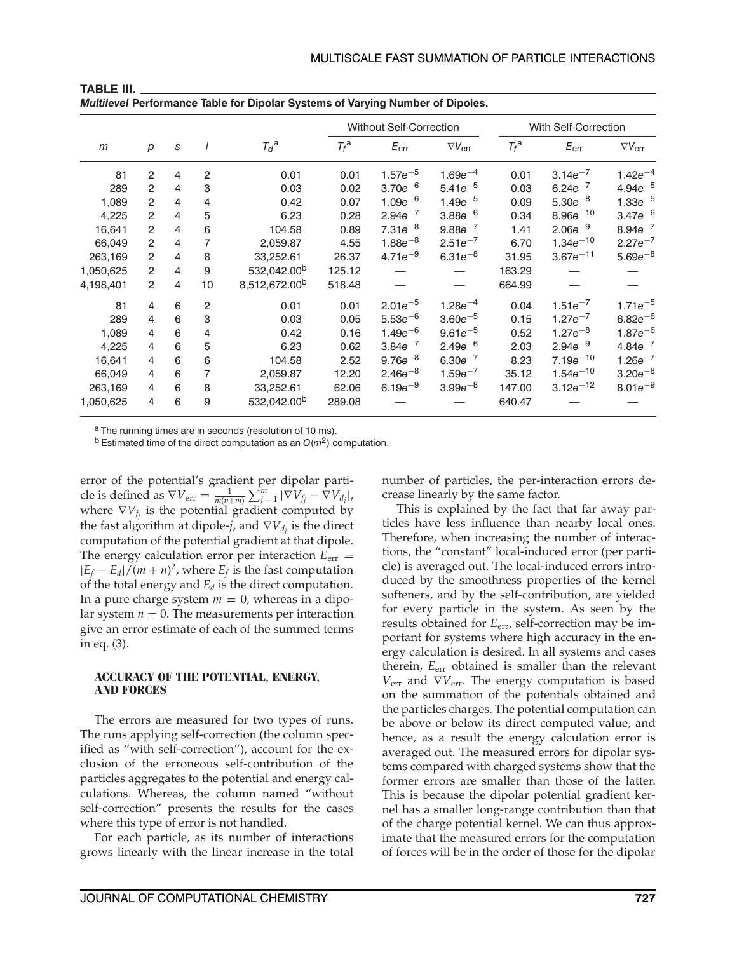|           |                |                |                |                           |                    | Without Self-Correction |                  |                  | With Self-Correction |                  |
|-----------|----------------|----------------|----------------|---------------------------|--------------------|-------------------------|------------------|------------------|----------------------|------------------|
| m         | p              | s              |                | $T_d^{\text{a}}$          | $T_f$ <sup>a</sup> | $E_{\sf err}$           | $\nabla V_{err}$ | $T_f^{\text{a}}$ | $E_{\rm err}$        | $\nabla V_{err}$ |
| 81        | 2              | 4              | 2              | 0.01                      | 0.01               | $1.57e^{-5}$            | $1.69e^{-4}$     | 0.01             | $3.14e^{-7}$         | $1.42e^{-4}$     |
| 289       | $\mathfrak{p}$ | $\overline{4}$ | 3              | 0.03                      | 0.02               | $3.70e^{-6}$            | $5.41e^{-5}$     | 0.03             | $6.24e^{-7}$         | $4.94e^{-5}$     |
| 1,089     | $\overline{2}$ | $\overline{4}$ | 4              | 0.42                      | 0.07               | $1.09e^{-6}$            | $1.49e^{-5}$     | 0.09             | $5.30e^{-8}$         | $1.33e^{-5}$     |
| 4,225     | $\mathcal{P}$  | 4              | 5              | 6.23                      | 0.28               | $2.94e^{-7}$            | $3.88e^{-6}$     | 0.34             | $8.96e^{-10}$        | $3.47e^{-6}$     |
| 16,641    | $\mathfrak{p}$ | $\overline{4}$ | 6              | 104.58                    | 0.89               | $7.31e^{-8}$            | $9.88e^{-7}$     | 1.41             | $2.06e^{-9}$         | $8.94e^{-7}$     |
| 66,049    | 2              | $\overline{4}$ | 7              | 2,059.87                  | 4.55               | $1.88e^{-8}$            | $2.51e^{-7}$     | 6.70             | $1.34e^{-10}$        | $2.27e^{-7}$     |
| 263,169   | $\overline{2}$ | $\overline{4}$ | 8              | 33,252.61                 | 26.37              | $4.71e^{-9}$            | $6.31e^{-8}$     | 31.95            | $3.67e^{-11}$        | $5.69e^{-8}$     |
| 1,050,625 | $\mathfrak{p}$ | $\overline{4}$ | 9              | 532,042.00 <sup>b</sup>   | 125.12             |                         |                  | 163.29           |                      |                  |
| 4,198,401 | 2              | $\overline{4}$ | 10             | 8,512,672.00 <sup>b</sup> | 518.48             |                         |                  | 664.99           |                      |                  |
| 81        | $\overline{4}$ | 6              | $\overline{2}$ | 0.01                      | 0.01               | $2.01e^{-5}$            | $1.28e^{-4}$     | 0.04             | $1.51e^{-7}$         | $1.71e^{-5}$     |
| 289       | 4              | 6              | 3              | 0.03                      | 0.05               | $5.53e^{-6}$            | $3.60e^{-5}$     | 0.15             | $1.27e^{-7}$         | $6.82e^{-6}$     |
| 1,089     | 4              | 6              | 4              | 0.42                      | 0.16               | $1.49e^{-6}$            | $9.61e^{-5}$     | 0.52             | $1.27e^{-8}$         | $1.87e^{-6}$     |
| 4,225     | 4              | 6              | 5              | 6.23                      | 0.62               | $3.84e^{-7}$            | $2.49e^{-6}$     | 2.03             | $2.94e^{-9}$         | $4.84e^{-7}$     |
| 16,641    | 4              | 6              | 6              | 104.58                    | 2.52               | $9.76e^{-8}$            | $6.30e^{-7}$     | 8.23             | $7.19e^{-10}$        | $1.26e^{-7}$     |
| 66,049    | 4              | 6              | 7              | 2,059.87                  | 12.20              | $2.46e^{-8}$            | $1.59e^{-7}$     | 35.12            | $1.54e^{-10}$        | $3.20e^{-8}$     |
| 263,169   | 4              | 6              | 8              | 33.252.61                 | 62.06              | $6.19e^{-9}$            | $3.99e^{-8}$     | 147.00           | $3.12e^{-12}$        | $8.01e^{-9}$     |
| 1,050,625 | 4              | 6              | 9              | 532,042.00 <sup>b</sup>   | 289.08             |                         |                  | 640.47           |                      |                  |

**TABLE III.** *Multilevel* **Performance Table for Dipolar Systems of Varying Number of Dipoles.**

a The running times are in seconds (resolution of 10 ms).

 $b$  Estimated time of the direct computation as an  $O(m^2)$  computation.

error of the potential's gradient per dipolar particle is defined as  $\nabla V_{\text{err}} = \frac{1}{m(n+m)} \sum_{j=1}^{m} |\nabla V_{f_j} - \nabla V_{d_j}|,$ where  $\nabla V_{f_i}$  is the potential gradient computed by the fast algorithm at dipole-*j*, and  $\nabla V_{d_i}$  is the direct computation of the potential gradient at that dipole. The energy calculation error per interaction  $E_{err}$  =  $|E_f - E_d|/(m+n)^2$ , where  $E_f$  is the fast computation of the total energy and  $E_d$  is the direct computation. In a pure charge system  $m = 0$ , whereas in a dipolar system  $n = 0$ . The measurements per interaction give an error estimate of each of the summed terms in eq. (3).

#### **ACCURACY OF THE POTENTIAL, ENERGY, AND FORCES**

The errors are measured for two types of runs. The runs applying self-correction (the column specified as "with self-correction"), account for the exclusion of the erroneous self-contribution of the particles aggregates to the potential and energy calculations. Whereas, the column named "without self-correction" presents the results for the cases where this type of error is not handled.

For each particle, as its number of interactions grows linearly with the linear increase in the total number of particles, the per-interaction errors decrease linearly by the same factor.

This is explained by the fact that far away particles have less influence than nearby local ones. Therefore, when increasing the number of interactions, the "constant" local-induced error (per particle) is averaged out. The local-induced errors introduced by the smoothness properties of the kernel softeners, and by the self-contribution, are yielded for every particle in the system. As seen by the results obtained for *E*err, self-correction may be important for systems where high accuracy in the energy calculation is desired. In all systems and cases therein, *E*err obtained is smaller than the relevant *V*<sub>err</sub> and ∇*V*<sub>err</sub>. The energy computation is based on the summation of the potentials obtained and the particles charges. The potential computation can be above or below its direct computed value, and hence, as a result the energy calculation error is averaged out. The measured errors for dipolar systems compared with charged systems show that the former errors are smaller than those of the latter. This is because the dipolar potential gradient kernel has a smaller long-range contribution than that of the charge potential kernel. We can thus approximate that the measured errors for the computation of forces will be in the order of those for the dipolar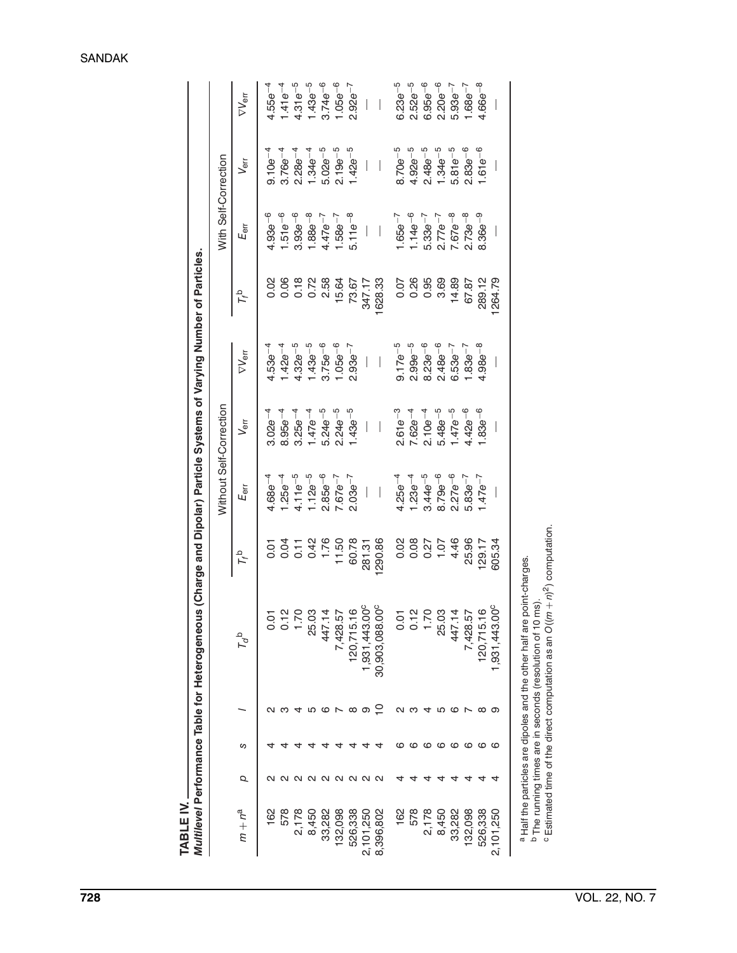|           |               |         |          |                                 |                   |               | Without Self-Correction  |                          |         | With Self-Correction |               |                          |
|-----------|---------------|---------|----------|---------------------------------|-------------------|---------------|--------------------------|--------------------------|---------|----------------------|---------------|--------------------------|
| $m + n^a$ | Q             | S       |          | $T_{d}^{\text{b}}$              | $T_f^{\text{b}}$  | $E_{\rm err}$ | $V_{\rm err}$            | $\nabla V_{\text{err}}$  | $T_f$ b | $E_{\rm err}$        | $V_{\rm err}$ | $\nabla V_{\text{err}}$  |
| 162       |               |         |          | 0.01                            | 5<br>0.0          | $4.68e^{-4}$  | $3.02e^{-4}$             | $.53e^{-4}$              | 0.02    | $-93e^{-6}$          | $9.10e^{-4}$  | $.55e^{-4}$              |
| 578       |               | 4       |          |                                 | 0.04              | $1.25e^{-4}$  | $8.95e^{-4}$             | $1.42e^{-4}$             | 0.06    | $1.51e^{-6}$         | $3.76e^{-4}$  | $.41e^{-4}$              |
| 2,178     | ט ש           | 4       | 4        | $0.12$<br>1.70                  | $\overline{0.11}$ | $4.11e^{-5}$  | $3.25e^{-4}$             | $4.32e^{-5}$             | 0.18    | $3.93e^{-6}$         | $2.28e^{-4}$  | $4.31e^{-5}$             |
| 8,450     |               | 4       | 5        | 25.03<br>447.14<br>7,428.57     | 0.42              | $1.12e^{-5}$  | $1.47e^{-4}$             | $1.43e^{-5}$             | 0.72    | $1.88e^{-8}$         | $1.34e^{-4}$  | $1.43e^{-5}$             |
| 33,282    |               | ₹       | ဖ        |                                 | 1.76              | $2.85e^{-6}$  | $5.24e^{-5}$             | $3.75e^{-6}$             | 2.58    | $4.47e^{-7}$         | $5.02e^{-5}$  | $3.74e^{-6}$             |
| 132,098   |               | ⅎ       | $\sim$   |                                 | 11.50             | $7.67e^{-7}$  | $2.24e^{-5}$             | $1.05e^{-6}$             | 15.64   | $1.58e^{-7}$         | $2.19e^{-5}$  | $1.05e^{-6}$             |
| 526,338   | <b>QQQQQQ</b> | 4       | $\infty$ | $\circ$<br>120,715.1            | 60.78             | $2.03e^{-7}$  | $1.43e^{-5}$             | $2.93e^{-7}$             | 73.67   | $5.11e^{-8}$         | $1.42e^{-5}$  | $2.92e^{-7}$             |
| 2,101,250 |               | 4       | ၜ        | 1,931,443.00°<br>30,903,088.00° | 281.31            | $\bigg $      | $\overline{\phantom{a}}$ | $\overline{\phantom{a}}$ | 347.17  | I                    | I             | I                        |
| 8,396,802 |               | 4       | ₽        |                                 | 290.86            |               |                          |                          | 1628.33 |                      | I             | $\overline{\phantom{a}}$ |
| 162       | 4             | ဖ       | N        | 0.01                            | 0.02              | $4.25e^{-4}$  | $2.61e^{-3}$             | $9.17e^{-5}$             | 0.07    | $1.65e^{-7}$         | $8.70e^{-5}$  | $6.23e^{-5}$             |
| 578       | 4             | G       | ო        | $0.12$<br>1.70                  | 0.08              | $1.23e^{-4}$  | $7.62e^{-4}$             | $2.99e^{-5}$             | 0.26    | $1.14e^{-6}$         | $4.92e^{-5}$  | $2.52e^{-5}$             |
| 2,178     | 4             | $\circ$ | 4        |                                 | 0.27              | $3.44e^{-5}$  | $2.10e^{-4}$             | $8.23e^{-6}$             | 0.95    | $5.33e^{-7}$         | $2.48e^{-5}$  | $6.95e^{-6}$             |
| 8,450     | 4             | G       | ഹ        |                                 | 1.07              | $8.79e^{-6}$  | $5.48e^{-5}$             | $2.48e^{-6}$             | 3.69    | $2.77e^{-7}$         | $1.34e^{-5}$  | $2.20e^{-6}$             |
| 33,282    | 4             | G       | ဖ        | 25.03<br>447.14<br>7,428.57     | 4.46              | $2.27e^{-6}$  | $1.47e^{-5}$             | $6.53e^{-7}$             | 14.89   | $7.67e^{-8}$         | $5.81e^{-5}$  | $5.93e^{-7}$             |
| 132,098   | 4             | ဖ       |          |                                 | 25.96             | $5.83e^{-7}$  | $4.42e^{-6}$             | $1.83e^{-7}$             | 67.87   | $2.73e^{-8}$         | $2.83e^{-6}$  | $1.68e^{-7}$             |
| 526,338   | 4             | ം ര     | ∞        | $\mathbf{\circ}$<br>120,715.1   | 129.17            | $1.47e^{-7}$  | $1.83e^{-6}$             | $4.98e^{-8}$             | 289.12  | $8.36e^{-9}$         | $1.61e^{-6}$  | $4.66e^{-8}$             |
| 2,101,250 | 4             |         | ာ        | 1,931,443.00°                   | 605.34            |               |                          |                          | 1264.79 |                      |               |                          |

# SANDAK

 $^{\circ}$  Estimated time of the direct computation as an  $O((m + n)^2)$  computation.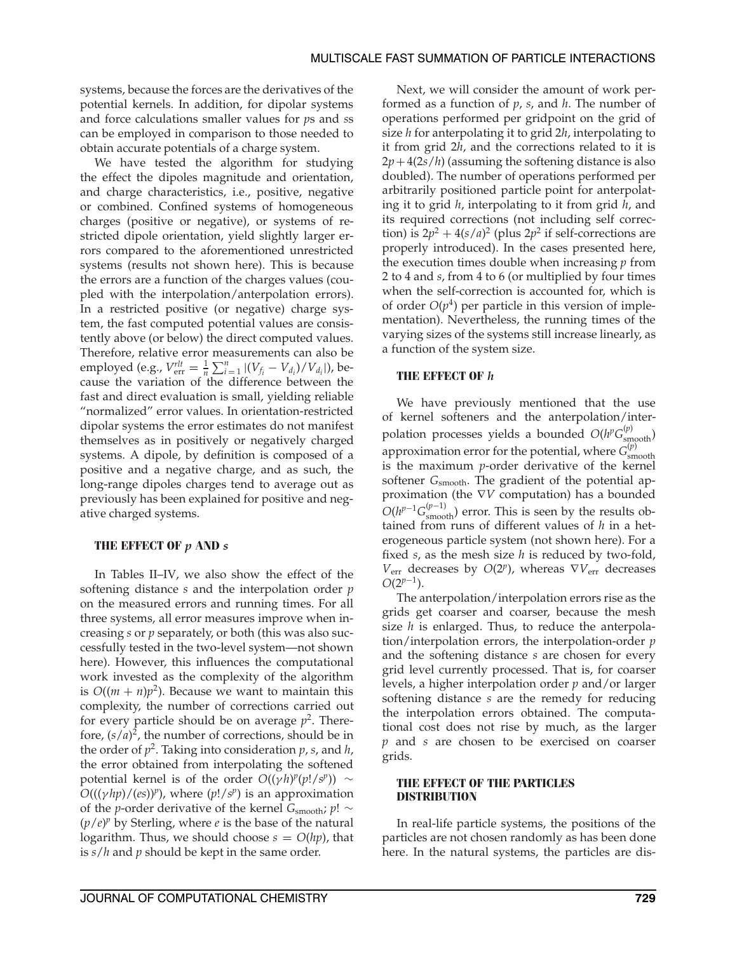systems, because the forces are the derivatives of the potential kernels. In addition, for dipolar systems and force calculations smaller values for *p*s and *s*s can be employed in comparison to those needed to obtain accurate potentials of a charge system.

We have tested the algorithm for studying the effect the dipoles magnitude and orientation, and charge characteristics, i.e., positive, negative or combined. Confined systems of homogeneous charges (positive or negative), or systems of restricted dipole orientation, yield slightly larger errors compared to the aforementioned unrestricted systems (results not shown here). This is because the errors are a function of the charges values (coupled with the interpolation/anterpolation errors). In a restricted positive (or negative) charge system, the fast computed potential values are consistently above (or below) the direct computed values. Therefore, relative error measurements can also be employed (e.g.,  $V_{\text{err}}^{rlt} = \frac{1}{n} \sum_{i=1}^{n} |(V_{f_i} - V_{d_i})/V_{d_i}|)$ , because the variation of the difference between the fast and direct evaluation is small, yielding reliable "normalized" error values. In orientation-restricted dipolar systems the error estimates do not manifest themselves as in positively or negatively charged systems. A dipole, by definition is composed of a positive and a negative charge, and as such, the long-range dipoles charges tend to average out as previously has been explained for positive and negative charged systems.

#### **THE EFFECT OF** *p* **AND** *s*

In Tables II–IV, we also show the effect of the softening distance *s* and the interpolation order *p* on the measured errors and running times. For all three systems, all error measures improve when increasing *s* or *p* separately, or both (this was also successfully tested in the two-level system—not shown here). However, this influences the computational work invested as the complexity of the algorithm is  $O((m + n)p^2)$ . Because we want to maintain this complexity, the number of corrections carried out for every particle should be on average  $p^2$ . Therefore,  $(s/a)^2$ , the number of corrections, should be in the order of  $p^2$ . Taking into consideration  $p$ ,  $s$ , and  $h$ , the error obtained from interpolating the softened potential kernel is of the order  $O((\gamma h)^p(p!/s^p)) \sim$  $O(((\gamma h p)/(es))^p)$ , where  $(p!/s^p)$  is an approximation of the *p*-order derivative of the kernel  $G<sub>smooth</sub>$ ; *p*! ∼  $(p/e)^p$  by Sterling, where  $e$  is the base of the natural logarithm. Thus, we should choose  $s = O(hp)$ , that is *s*/*h* and *p* should be kept in the same order.

Next, we will consider the amount of work performed as a function of *p*, *s*, and *h*. The number of operations performed per gridpoint on the grid of size *h* for anterpolating it to grid 2*h*, interpolating to it from grid 2*h*, and the corrections related to it is  $2p+4(2s/h)$  (assuming the softening distance is also doubled). The number of operations performed per arbitrarily positioned particle point for anterpolating it to grid *h*, interpolating to it from grid *h*, and its required corrections (not including self correction) is  $2p^2 + 4(s/a)^2$  (plus  $2p^2$  if self-corrections are properly introduced). In the cases presented here, the execution times double when increasing *p* from 2 to 4 and *s*, from 4 to 6 (or multiplied by four times when the self-correction is accounted for, which is of order  $O(p^4)$  per particle in this version of implementation). Nevertheless, the running times of the varying sizes of the systems still increase linearly, as a function of the system size.

#### **THE EFFECT OF** *h*

We have previously mentioned that the use of kernel softeners and the anterpolation/interpolation processes yields a bounded  $O(h^pG_{\text{smooth}}^{(p)})$ approximation error for the potential, where  $G^{(p)}_{\rm smooth}$ is the maximum *p*-order derivative of the kernel softener G<sub>smooth</sub>. The gradient of the potential approximation (the ∇*V* computation) has a bounded  $O(h^{p-1}G_{\text{smooth}}^{(p-1)})$  error. This is seen by the results obtained from runs of different values of *h* in a heterogeneous particle system (not shown here). For a fixed *s*, as the mesh size *h* is reduced by two-fold,  $V_{\text{err}}$  decreases by  $O(2^p)$ , whereas  $\nabla V_{\text{err}}$  decreases *O*(2*<sup>p</sup>*−1).

The anterpolation/interpolation errors rise as the grids get coarser and coarser, because the mesh size *h* is enlarged. Thus, to reduce the anterpolation/interpolation errors, the interpolation-order *p* and the softening distance *s* are chosen for every grid level currently processed. That is, for coarser levels, a higher interpolation order *p* and/or larger softening distance *s* are the remedy for reducing the interpolation errors obtained. The computational cost does not rise by much, as the larger *p* and *s* are chosen to be exercised on coarser grids.

#### **THE EFFECT OF THE PARTICLES DISTRIBUTION**

In real-life particle systems, the positions of the particles are not chosen randomly as has been done here. In the natural systems, the particles are dis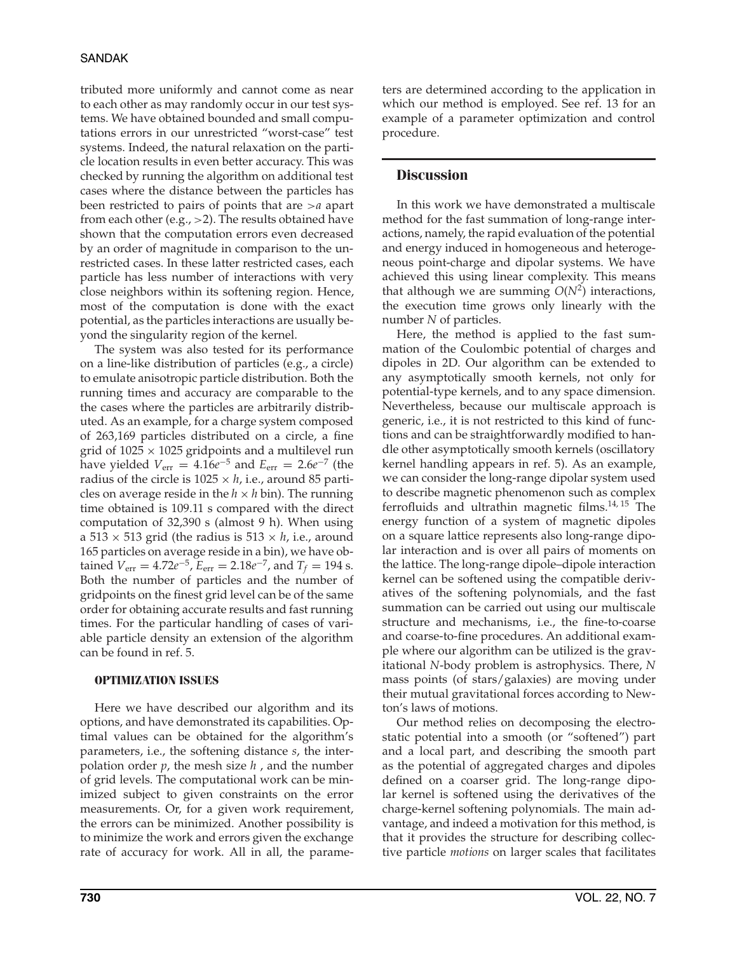tributed more uniformly and cannot come as near to each other as may randomly occur in our test systems. We have obtained bounded and small computations errors in our unrestricted "worst-case" test systems. Indeed, the natural relaxation on the particle location results in even better accuracy. This was checked by running the algorithm on additional test cases where the distance between the particles has been restricted to pairs of points that are *>a* apart from each other (e.g., *>*2). The results obtained have shown that the computation errors even decreased by an order of magnitude in comparison to the unrestricted cases. In these latter restricted cases, each particle has less number of interactions with very close neighbors within its softening region. Hence, most of the computation is done with the exact potential, as the particles interactions are usually beyond the singularity region of the kernel.

The system was also tested for its performance on a line-like distribution of particles (e.g., a circle) to emulate anisotropic particle distribution. Both the running times and accuracy are comparable to the the cases where the particles are arbitrarily distributed. As an example, for a charge system composed of 263,169 particles distributed on a circle, a fine grid of  $1025 \times 1025$  gridpoints and a multilevel run have yielded  $V_{\text{err}} = 4.16e^{-5}$  and  $E_{\text{err}} = 2.6e^{-7}$  (the radius of the circle is  $1025 \times h$ , i.e., around 85 particles on average reside in the  $h \times h$  bin). The running time obtained is 109.11 s compared with the direct computation of 32,390 s (almost 9 h). When using a 513  $\times$  513 grid (the radius is 513  $\times$  *h*, i.e., around 165 particles on average reside in a bin), we have obtained  $V_{\text{err}} = 4.72e^{-5}$ ,  $E_{\text{err}} = 2.18e^{-7}$ , and  $T_f = 194$  s. Both the number of particles and the number of gridpoints on the finest grid level can be of the same order for obtaining accurate results and fast running times. For the particular handling of cases of variable particle density an extension of the algorithm can be found in ref. 5.

## **OPTIMIZATION ISSUES**

Here we have described our algorithm and its options, and have demonstrated its capabilities. Optimal values can be obtained for the algorithm's parameters, i.e., the softening distance *s*, the interpolation order *p*, the mesh size *h* , and the number of grid levels. The computational work can be minimized subject to given constraints on the error measurements. Or, for a given work requirement, the errors can be minimized. Another possibility is to minimize the work and errors given the exchange rate of accuracy for work. All in all, the parameters are determined according to the application in which our method is employed. See ref. 13 for an example of a parameter optimization and control procedure.

# **Discussion**

In this work we have demonstrated a multiscale method for the fast summation of long-range interactions, namely, the rapid evaluation of the potential and energy induced in homogeneous and heterogeneous point-charge and dipolar systems. We have achieved this using linear complexity. This means that although we are summing  $O(N^2)$  interactions, the execution time grows only linearly with the number *N* of particles.

Here, the method is applied to the fast summation of the Coulombic potential of charges and dipoles in 2D. Our algorithm can be extended to any asymptotically smooth kernels, not only for potential-type kernels, and to any space dimension. Nevertheless, because our multiscale approach is generic, i.e., it is not restricted to this kind of functions and can be straightforwardly modified to handle other asymptotically smooth kernels (oscillatory kernel handling appears in ref. 5). As an example, we can consider the long-range dipolar system used to describe magnetic phenomenon such as complex ferrofluids and ultrathin magnetic films.14, 15 The energy function of a system of magnetic dipoles on a square lattice represents also long-range dipolar interaction and is over all pairs of moments on the lattice. The long-range dipole–dipole interaction kernel can be softened using the compatible derivatives of the softening polynomials, and the fast summation can be carried out using our multiscale structure and mechanisms, i.e., the fine-to-coarse and coarse-to-fine procedures. An additional example where our algorithm can be utilized is the gravitational *N*-body problem is astrophysics. There, *N* mass points (of stars/galaxies) are moving under their mutual gravitational forces according to Newton's laws of motions.

Our method relies on decomposing the electrostatic potential into a smooth (or "softened") part and a local part, and describing the smooth part as the potential of aggregated charges and dipoles defined on a coarser grid. The long-range dipolar kernel is softened using the derivatives of the charge-kernel softening polynomials. The main advantage, and indeed a motivation for this method, is that it provides the structure for describing collective particle *motions* on larger scales that facilitates